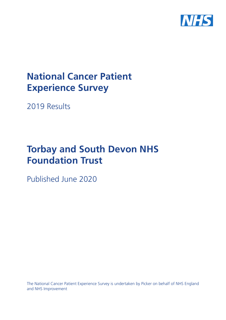

# **National Cancer Patient Experience Survey**

2019 Results

# **Torbay and South Devon NHS Foundation Trust**

Published June 2020

The National Cancer Patient Experience Survey is undertaken by Picker on behalf of NHS England and NHS Improvement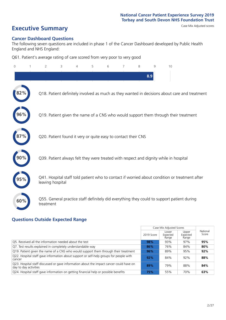**Executive Summary** Case Mix Adjusted scores

### **Cancer Dashboard Questions**

The following seven questions are included in phase 1 of the Cancer Dashboard developed by Public Health England and NHS England:

Q61. Patient's average rating of care scored from very poor to very good

| $\Omega$ | $\overline{2}$                                                | 3 | 5 | 6 | 8 | 9   | 10                                                                                            |  |
|----------|---------------------------------------------------------------|---|---|---|---|-----|-----------------------------------------------------------------------------------------------|--|
|          |                                                               |   |   |   |   | 8.9 |                                                                                               |  |
|          |                                                               |   |   |   |   |     | Q18. Patient definitely involved as much as they wanted in decisions about care and treatment |  |
| 96%      |                                                               |   |   |   |   |     | Q19. Patient given the name of a CNS who would support them through their treatment           |  |
|          | Q20. Patient found it very or quite easy to contact their CNS |   |   |   |   |     |                                                                                               |  |
|          |                                                               |   |   |   |   |     | Q39. Patient always felt they were treated with respect and dignity while in hospital         |  |
|          | leaving hospital                                              |   |   |   |   |     | Q41. Hospital staff told patient who to contact if worried about condition or treatment after |  |
| 60%      | treatment                                                     |   |   |   |   |     | Q55. General practice staff definitely did everything they could to support patient during    |  |

### **Questions Outside Expected Range**

|                                                                                                                  |            | Case Mix Adjusted Scores   |                            |                   |
|------------------------------------------------------------------------------------------------------------------|------------|----------------------------|----------------------------|-------------------|
|                                                                                                                  | 2019 Score | Lower<br>Expected<br>Range | Upper<br>Expected<br>Range | National<br>Score |
| Q5. Received all the information needed about the test                                                           | 98%        | 93%                        | 97%                        | 95%               |
| Q7. Test results explained in completely understandable way                                                      | 86%        | 76%                        | 84%                        | 80%               |
| Q19. Patient given the name of a CNS who would support them through their treatment                              | 96%        | 89%                        | 95%                        | 92%               |
| Q22. Hospital staff gave information about support or self-help groups for people with<br>cancer                 | 92%        | 84%                        | 92%                        | 88%               |
| Q23. Hospital staff discussed or gave information about the impact cancer could have on<br>day to day activities | 89%        | 79%                        | 88%                        | 84%               |
| Q24. Hospital staff gave information on getting financial help or possible benefits                              | 75%        | 55%                        | 70%                        | 63%               |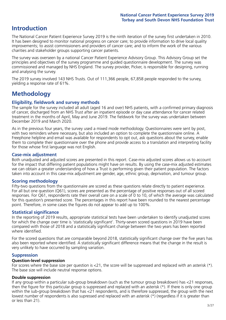# **Introduction**

The National Cancer Patient Experience Survey 2019 is the ninth iteration of the survey first undertaken in 2010. It has been designed to monitor national progress on cancer care; to provide information to drive local quality improvements; to assist commissioners and providers of cancer care; and to inform the work of the various charities and stakeholder groups supporting cancer patients.

The survey was overseen by a national Cancer Patient Experience Advisory Group. This Advisory Group set the principles and objectives of the survey programme and guided questionnaire development. The survey was commissioned and managed by NHS England. The survey provider, Picker, is responsible for designing, running and analysing the survey.

The 2019 survey involved 143 NHS Trusts. Out of 111,366 people, 67,858 people responded to the survey, yielding a response rate of 61%.

# **Methodology**

### **Eligibility, eldwork and survey methods**

The sample for the survey included all adult (aged 16 and over) NHS patients, with a confirmed primary diagnosis of cancer, discharged from an NHS Trust after an inpatient episode or day case attendance for cancer related treatment in the months of April, May and June 2019. The fieldwork for the survey was undertaken between December 2019 and March 2020.

As in the previous four years, the survey used a mixed mode methodology. Questionnaires were sent by post, with two reminders where necessary, but also included an option to complete the questionnaire online. A Freephone helpline and email was available for respondents to opt out, ask questions about the survey, enable them to complete their questionnaire over the phone and provide access to a translation and interpreting facility for those whose first language was not English.

### **Case-mix adjustment**

Both unadjusted and adjusted scores are presented in this report. Case-mix adjusted scores allows us to account for the impact that differing patient populations might have on results. By using the case-mix adjusted estimates we can obtain a greater understanding of how a Trust is performing given their patient population. The factors taken into account in this case-mix adjustment are gender, age, ethnic group, deprivation, and tumour group.

### **Scoring methodology**

Fifty-two questions from the questionnaire are scored as these questions relate directly to patient experience. For all but one question (Q61), scores are presented as the percentage of positive responses out of all scored responses. For Q61, respondents rate their overall care on a scale of 0 to 10, of which the average was calculated for this question's presented score. The percentages in this report have been rounded to the nearest percentage point. Therefore, in some cases the figures do not appear to add up to 100%.

### **Statistical significance**

In the reporting of 2019 results, appropriate statistical tests have been undertaken to identify unadjusted scores for which the change over time is 'statistically significant'. Thirty-seven scored questions in 2019 have been compared with those of 2018 and a statistically significant change between the two years has been reported where identified.

For the scored questions that are comparable beyond 2018, statistically significant change over the five years has also been reported where identified. A statistically significant difference means that the change in the result is very unlikely to have occurred by sampling variation.

### **Suppression**

### **Question-level suppression**

For scores where the base size per question is  $<$ 21, the score will be suppressed and replaced with an asterisk (\*). The base size will include neutral response options.

### **Double suppression**

If any group within a particular sub-group breakdown (such as the tumour group breakdown) has <21 responses, then the figure for this particular group is suppressed and replaced with an asterisk (\*). If there is only one group within the sub-group breakdown that has <21 respondents, and is therefore suppressed, the group with the next lowest number of respondents is also supressed and replaced with an asterisk (\*) (regardless if it is greater than or less than 21).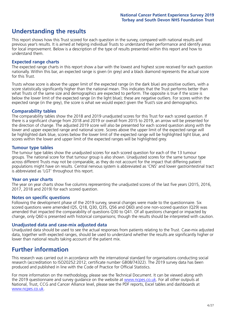# **Understanding the results**

This report shows how this Trust scored for each question in the survey, compared with national results and previous year's results. It is aimed at helping individual Trusts to understand their performance and identify areas for local improvement. Below is a description of the type of results presented within this report and how to understand them.

### **Expected range charts**

The expected range charts in this report show a bar with the lowest and highest score received for each question nationally. Within this bar, an expected range is given (in grey) and a black diamond represents the actual score for this Trust.

Trusts whose score is above the upper limit of the expected range (in the dark blue) are positive outliers, with a score statistically significantly higher than the national mean. This indicates that the Trust performs better than what Trusts of the same size and demographics are expected to perform. The opposite is true if the score is below the lower limit of the expected range (in the light blue); these are negative outliers. For scores within the expected range (in the grey), the score is what we would expect given the Trust's size and demographics.

### **Comparability tables**

The comparability tables show the 2018 and 2019 unadjusted scores for this Trust for each scored question. If there is a significant change from 2018 and 2019 or overall from 2015 to 2019, an arrow will be presented for the direction of change. The adjusted 2019 score will also be presented for each scored question along with the lower and upper expected range and national score. Scores above the upper limit of the expected range will be highlighted dark blue, scores below the lower limit of the expected range will be highlighted light blue, and scores within the lower and upper limit of the expected ranges will be highlighted grey.

### **Tumour type tables**

The tumour type tables show the unadjusted scores for each scored question for each of the 13 tumour groups. The national score for that tumour group is also shown. Unadjusted scores for the same tumour type across different Trusts may not be comparable, as they do not account for the impact that differing patient populations might have on results. Central nervous system is abbreviated as 'CNS' and lower gastrointestinal tract is abbreviated as 'LGT' throughout this report.

### **Year on year charts**

The year on year charts show five columns representing the unadjusted scores of the last five years (2015, 2016, 2017, 2018 and 2019) for each scored question.

#### **Notes on specific questions**

Following the development phase of the 2019 survey, several changes were made to the questionnaire. Six scored questions were amended (Q5, Q18, Q30, Q35, Q56 and Q60) and one non-scored question (Q29) was amended that impacted the comparability of questions Q30 to Q41. Of all questions changed or impacted by change, only Q60 is presented with historical comparisons; though the results should be interpreted with caution.

### **Unadjusted data and case-mix adjusted data**

Unadjusted data should be used to see the actual responses from patients relating to the Trust. Case-mix adjusted data, together with expected ranges, should be used to understand whether the results are significantly higher or lower than national results taking account of the patient mix.

# **Further information**

This research was carried out in accordance with the international standard for organisations conducting social research (accreditation to ISO20252:2012; certificate number GB08/74322). The 2019 survey data has been produced and published in line with the Code of Practice for Official Statistics.

For more information on the methodology, please see the Technical Document. It can be viewed along with the 2019 questionnaire and survey quidance on the website at [www.ncpes.co.uk](https://www.ncpes.co.uk/supporting-documents). For all other outputs at National, Trust, CCG and Cancer Alliance level, please see the PDF reports, Excel tables and dashboards at [www.ncpes.co.uk.](https://www.ncpes.co.uk/current-results)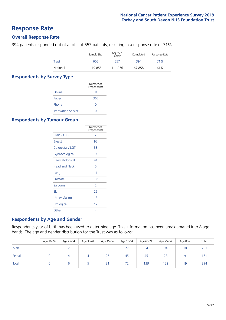### **Response Rate**

### **Overall Response Rate**

394 patients responded out of a total of 557 patients, resulting in a response rate of 71%.

|          | Sample Size | Adjusted<br>Sample | Completed | Response Rate |
|----------|-------------|--------------------|-----------|---------------|
| Trust    | 605         | 557                | 394       | 71%           |
| National | 119.855     | 111.366            | 67.858    | 61%           |

### **Respondents by Survey Type**

|                            | Number of<br>Respondents |
|----------------------------|--------------------------|
| Online                     | 31                       |
| Paper                      | 363                      |
| Phone                      |                          |
| <b>Translation Service</b> |                          |

### **Respondents by Tumour Group**

|                      | Number of<br>Respondents |
|----------------------|--------------------------|
| Brain / CNS          | 2                        |
| <b>Breast</b>        | 95                       |
| Colorectal / LGT     | 38                       |
| Gynaecological       | 9                        |
| Haematological       | 41                       |
| <b>Head and Neck</b> | 5                        |
| Lung                 | 11                       |
| Prostate             | 136                      |
| Sarcoma              | $\mathcal{P}$            |
| Skin                 | 26                       |
| Upper Gastro         | 1 <sub>3</sub>           |
| Urological           | 12                       |
| Other                | 4                        |

### **Respondents by Age and Gender**

Respondents year of birth has been used to determine age. This information has been amalgamated into 8 age bands. The age and gender distribution for the Trust was as follows:

|        | Age 16-24 | Age 25-34 | Age 35-44 | Age 45-54       | Age 55-64 | Age 65-74 | Age 75-84 | Age 85+ | Total |
|--------|-----------|-----------|-----------|-----------------|-----------|-----------|-----------|---------|-------|
| Male   |           |           |           |                 | 27        | 94        | 94        | 10      | 233   |
| Female |           |           | 4         | 26              | 45        | 45        | 28        |         | 161   |
| Total  |           |           |           | $\overline{2}1$ | 72        | 139       | 122       | 19      | 394   |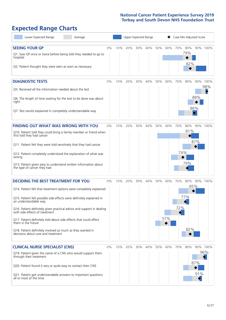# **Expected Range Charts**

| Lower Expected Range                                                                                    | Average |       |     |     |     | Upper Expected Range |     |     | Case Mix Adjusted Score |     |                                     |          |
|---------------------------------------------------------------------------------------------------------|---------|-------|-----|-----|-----|----------------------|-----|-----|-------------------------|-----|-------------------------------------|----------|
| <b>SEEING YOUR GP</b>                                                                                   |         | $0\%$ | 10% | 20% | 30% | 40%                  | 50% | 60% | 70%                     | 80% |                                     | 90% 100% |
| Q1. Saw GP once or twice before being told they needed to go to<br>hospital                             |         |       |     |     |     |                      |     |     |                         | 79% |                                     |          |
| Q2. Patient thought they were seen as soon as necessary                                                 |         |       |     |     |     |                      |     |     |                         | 82% |                                     |          |
| <b>DIAGNOSTIC TESTS</b>                                                                                 |         | 0%    | 10% | 20% | 30% | 40%                  | 50% | 60% | 70%                     | 80% |                                     | 90% 100% |
| O5. Received all the information needed about the test                                                  |         |       |     |     |     |                      |     |     |                         |     |                                     | 98%      |
| Q6. The length of time waiting for the test to be done was about<br>right                               |         |       |     |     |     |                      |     |     |                         |     | 88%                                 |          |
| Q7. Test results explained in completely understandable way                                             |         |       |     |     |     |                      |     |     |                         |     | 86%<br>$\color{black}\blacklozenge$ |          |
| <b>FINDING OUT WHAT WAS WRONG WITH YOU</b>                                                              |         | 0%    | 10% | 20% | 30% | 40%                  | 50% | 60% | 70%                     | 80% |                                     | 90% 100% |
| Q10. Patient told they could bring a family member or friend when<br>first told they had cancer         |         |       |     |     |     |                      |     |     |                         | 81% |                                     |          |
| Q11. Patient felt they were told sensitively that they had cancer                                       |         |       |     |     |     |                      |     |     |                         |     | 87%                                 |          |
| Q12. Patient completely understood the explanation of what was<br>wrong                                 |         |       |     |     |     |                      |     |     | 74%                     |     |                                     |          |
| Q13. Patient given easy to understand written information about<br>the type of cancer they had          |         |       |     |     |     |                      |     |     |                         | 79% |                                     |          |
| <b>DECIDING THE BEST TREATMENT FOR YOU</b>                                                              |         | 0%    | 10% | 20% | 30% | 40%                  | 50% | 60% | 70%                     | 80% |                                     | 90% 100% |
| Q14. Patient felt that treatment options were completely explained                                      |         |       |     |     |     |                      |     |     |                         |     | 85%                                 |          |
| Q15. Patient felt possible side effects were definitely explained in<br>an understandable way           |         |       |     |     |     |                      |     |     |                         | 77% |                                     |          |
| Q16. Patient definitely given practical advice and support in dealing<br>with side effects of treatment |         |       |     |     |     |                      |     |     | 72%                     |     |                                     |          |
| Q17. Patient definitely told about side effects that could affect<br>them in the future                 |         |       |     |     |     |                      |     | 57% |                         |     |                                     |          |
| Q18. Patient definitely involved as much as they wanted in<br>decisions about care and treatment        |         |       |     |     |     |                      |     |     |                         | 82% |                                     |          |
| <b>CLINICAL NURSE SPECIALIST (CNS)</b>                                                                  |         | 0%    | 10% | 20% | 30% | 40%                  | 50% | 60% | 70%                     | 80% |                                     | 90% 100% |
| Q19. Patient given the name of a CNS who would support them<br>through their treatment                  |         |       |     |     |     |                      |     |     |                         |     |                                     | 96%      |
| Q20. Patient found it very or quite easy to contact their CNS                                           |         |       |     |     |     |                      |     |     |                         |     | 87%                                 |          |
| Q21. Patient got understandable answers to important questions<br>all or most of the time               |         |       |     |     |     |                      |     |     |                         |     | 91%                                 |          |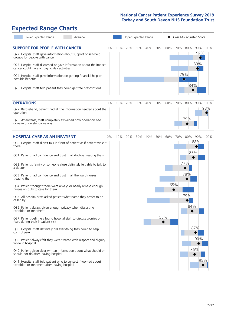# **Expected Range Charts**

| Lower Expected Range<br>Average                                                                                                                                                                                                                                                                                                                         |    |     |     |     | Upper Expected Range |     |     |          | Case Mix Adjusted Score         |                        |     |
|---------------------------------------------------------------------------------------------------------------------------------------------------------------------------------------------------------------------------------------------------------------------------------------------------------------------------------------------------------|----|-----|-----|-----|----------------------|-----|-----|----------|---------------------------------|------------------------|-----|
| <b>SUPPORT FOR PEOPLE WITH CANCER</b><br>Q22. Hospital staff gave information about support or self-help<br>groups for people with cancer<br>Q23. Hospital staff discussed or gave information about the impact<br>cancer could have on day to day activities<br>Q24. Hospital staff gave information on getting financial help or<br>possible benefits | 0% | 10% | 20% | 30% | 40%                  | 50% | 60% | 70%      | 80%<br>75%<br>$\Diamond$<br>84% | 90% 100%<br>92%<br>89% |     |
| Q25. Hospital staff told patient they could get free prescriptions                                                                                                                                                                                                                                                                                      |    |     |     |     |                      |     |     |          |                                 |                        |     |
| <b>OPERATIONS</b><br>Q27. Beforehand, patient had all the information needed about the<br>operation                                                                                                                                                                                                                                                     | 0% | 10% | 20% | 30% | 40%                  | 50% | 60% | 70%      | 80%                             | 90% 100%               | 98% |
| Q28. Afterwards, staff completely explained how operation had<br>gone in understandable way                                                                                                                                                                                                                                                             |    |     |     |     |                      |     |     |          | 79%                             |                        |     |
| <b>HOSPITAL CARE AS AN INPATIENT</b>                                                                                                                                                                                                                                                                                                                    | 0% | 10% | 20% | 30% | 40%                  | 50% | 60% | 70%      | 80%                             | 90% 100%               |     |
| Q30. Hospital staff didn't talk in front of patient as if patient wasn't<br>there<br>Q31. Patient had confidence and trust in all doctors treating them                                                                                                                                                                                                 |    |     |     |     |                      |     |     |          | 85%                             | 88%                    |     |
| Q32. Patient's family or someone close definitely felt able to talk to<br>a doctor                                                                                                                                                                                                                                                                      |    |     |     |     |                      |     |     |          | 77%                             |                        |     |
| Q33. Patient had confidence and trust in all the ward nurses<br>treating them                                                                                                                                                                                                                                                                           |    |     |     |     |                      |     |     |          | 78%                             |                        |     |
| Q34. Patient thought there were always or nearly always enough<br>nurses on duty to care for them                                                                                                                                                                                                                                                       |    |     |     |     |                      |     |     | 65%<br>◆ |                                 |                        |     |
| Q35. All hospital staff asked patient what name they prefer to be<br>called by                                                                                                                                                                                                                                                                          |    |     |     |     |                      |     |     |          | 79%                             |                        |     |
| Q36. Patient always given enough privacy when discussing<br>condition or treatment                                                                                                                                                                                                                                                                      |    |     |     |     |                      |     |     |          | 84%                             |                        |     |
| Q37. Patient definitely found hospital staff to discuss worries or<br>fears during their inpatient visit                                                                                                                                                                                                                                                |    |     |     |     |                      | 55% |     |          |                                 |                        |     |
| Q38. Hospital staff definitely did everything they could to help<br>control pain                                                                                                                                                                                                                                                                        |    |     |     |     |                      |     |     |          |                                 | 87%                    |     |
| Q39. Patient always felt they were treated with respect and dignity<br>while in hospital                                                                                                                                                                                                                                                                |    |     |     |     |                      |     |     |          |                                 | 90%                    |     |
| Q40. Patient given clear written information about what should or<br>should not do after leaving hospital                                                                                                                                                                                                                                               |    |     |     |     |                      |     |     |          |                                 | 86%                    |     |
| Q41. Hospital staff told patient who to contact if worried about<br>condition or treatment after leaving hospital                                                                                                                                                                                                                                       |    |     |     |     |                      |     |     |          |                                 | 95%                    |     |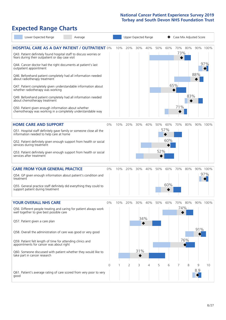# **Expected Range Charts**

| Lower Expected Range<br>Average                                                                                                                                                         |       |     | Upper Expected Range |     |     |     |     | Case Mix Adjusted Score |         |     |          |
|-----------------------------------------------------------------------------------------------------------------------------------------------------------------------------------------|-------|-----|----------------------|-----|-----|-----|-----|-------------------------|---------|-----|----------|
| <b>HOSPITAL CARE AS A DAY PATIENT / OUTPATIENT 0%</b><br>Q43. Patient definitely found hospital staff to discuss worries or<br>fears during their outpatient or day case visit          |       | 10% | 20%                  | 30% | 40% | 50% | 60% | 73%                     | 70% 80% |     | 90% 100% |
| Q44. Cancer doctor had the right documents at patient's last<br>outpatient appointment<br>Q46. Beforehand patient completely had all information needed<br>about radiotherapy treatment |       |     |                      |     |     |     |     |                         |         | 88% | 97%      |
| Q47. Patient completely given understandable information about<br>whether radiotherapy was working<br>Q49. Beforehand patient completely had all information needed                     |       |     |                      |     |     |     |     | 65%                     | 83%     |     |          |
| about chemotherapy treatment<br>Q50. Patient given enough information about whether<br>chemotherapy was working in a completely understandable way                                      |       |     |                      |     |     |     |     | 71%                     |         |     |          |
| <b>HOME CARE AND SUPPORT</b>                                                                                                                                                            | 0%    | 10% | 20%                  | 30% | 40% | 50% | 60% | 70%                     | 80%     |     | 90% 100% |
| Q51. Hospital staff definitely gave family or someone close all the<br>information needed to help care at home                                                                          |       |     |                      |     |     |     | 57% |                         |         |     |          |
| Q52. Patient definitely given enough support from health or social<br>services during treatment                                                                                         |       |     |                      |     |     |     | 60% |                         |         |     |          |
| Q53. Patient definitely given enough support from health or social<br>services after treatment                                                                                          |       |     |                      |     |     | 52% |     |                         |         |     |          |
| <b>CARE FROM YOUR GENERAL PRACTICE</b>                                                                                                                                                  | 0%    |     | 10% 20%              | 30% | 40% | 50% | 60% | 70%                     | 80%     |     | 90% 100% |
| Q54. GP given enough information about patient's condition and<br>treatment                                                                                                             |       |     |                      |     |     |     |     |                         |         |     | 97%      |
| Q55. General practice staff definitely did everything they could to<br>support patient during treatment                                                                                 |       |     |                      |     |     |     | 60% |                         |         |     |          |
| <b>YOUR OVERALL NHS CARE</b>                                                                                                                                                            | $0\%$ | 10% | 20%                  | 30% | 40% | 50% | 60% | 70%                     | 80%     |     | 90% 100% |
| Q56. Different people treating and caring for patient always work<br>well together to give best possible care                                                                           |       |     |                      | 34% |     |     |     | 74%                     |         |     |          |
| Q57. Patient given a care plan                                                                                                                                                          |       |     |                      |     |     |     |     |                         |         | 91% |          |
| Q58. Overall the administration of care was good or very good<br>Q59. Patient felt length of time for attending clinics and                                                             |       |     |                      |     |     |     |     |                         | 76%     |     |          |
| appointments for cancer was about right                                                                                                                                                 |       |     |                      | 31% |     |     |     |                         |         |     |          |
| Q60. Someone discussed with patient whether they would like to<br>take part in cancer research                                                                                          |       |     |                      |     |     |     |     |                         |         |     |          |
|                                                                                                                                                                                         | 0     | 1   | 2                    | 3   | 4   | 5   | 6   |                         | 8       | 9   | 10       |
| Q61. Patient's average rating of care scored from very poor to very<br>good                                                                                                             |       |     |                      |     |     |     |     |                         |         | 8.9 |          |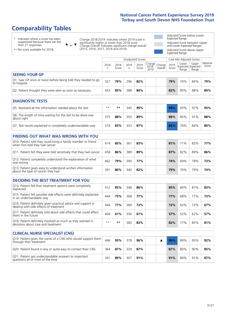# **Comparability Tables**

\* Indicates where a score has been suppressed because there are less than 21 responses.

\*\* No score available for 2018.

 $\triangle$  or  $\nabla$ 

Change 2018-2019: Indicates where 2019 score is significantly higher or lower than 2018 score Change Overall: Indicates significant change overall (2015, 2016, 2017, 2018 and 2019).

Adjusted Score below Lower Expected Range Adjusted Score between Upper and Lower Expected Ranges Adjusted Score above Upper Expected Range

|                                                                             | Case Mix Adjusted Scores<br>Unadjusted Scores |               |            |               |                                                    |         |               |                                     |                |                   |
|-----------------------------------------------------------------------------|-----------------------------------------------|---------------|------------|---------------|----------------------------------------------------|---------|---------------|-------------------------------------|----------------|-------------------|
|                                                                             | 2018<br>n                                     | 2018<br>Score | 2019<br>n. | 2019<br>Score | $\sim$   Change   Change   $\sim$<br>2018-<br>2019 | Overall | 2019<br>Score | Lower<br>Expected Expected<br>Range | Upper<br>Range | National<br>Score |
| <b>SEEING YOUR GP</b>                                                       |                                               |               |            |               |                                                    |         |               |                                     |                |                   |
| Q1. Saw GP once or twice before being told they needed to go<br>to hospital | 327                                           | 79%           | 296        | 82%           |                                                    |         | 79%           | 74%                                 | 84%            | 79%               |
| Q2. Patient thought they were seen as soon as necessary                     | 453                                           | 85%           | 388        | 84%           |                                                    |         | 82%           | 80%                                 | 88%            | 84%               |

| <b>DIAGNOSTIC TESTS</b>                                                   |      |     |     |     |     |     |     |     |
|---------------------------------------------------------------------------|------|-----|-----|-----|-----|-----|-----|-----|
| O5. Received all the information needed about the test                    | $**$ | **  | 345 | 99% | 98% | 93% | 97% | 95% |
| Q6. The length of time waiting for the test to be done was<br>about right | 375  | 88% | 350 | 89% | 88% | 85% | 91% | 88% |
| Q7. Test results explained in completely understandable way               | 374  | 83% | 353 | 87% | 86% | 76% | 84% | 80% |

| <b>FINDING OUT WHAT WAS WRONG WITH YOU</b>                                                      |     |     |     |     |     |     |     |     |
|-------------------------------------------------------------------------------------------------|-----|-----|-----|-----|-----|-----|-----|-----|
| Q10. Patient told they could bring a family member or friend<br>when first told they had cancer | 414 | 85% | 361 | 83% | 81% | 71% | 82% | 77% |
| Q11. Patient felt they were told sensitively that they had cancer                               | 458 | 86% | 389 | 89% | 87% | 82% | 89% | 86% |
| Q12. Patient completely understood the explanation of what<br>was wrong                         | 462 | 79% | 390 | 77% | 74% | 69% | 78% | 73% |
| Q13. Patient given easy to understand written information<br>about the type of cancer they had  | 391 | 80% | 340 | 82% | 79% | 70% | 79% | 74% |

| <b>DECIDING THE BEST TREATMENT FOR YOU</b>                                                              |      |      |     |     |     |     |     |     |
|---------------------------------------------------------------------------------------------------------|------|------|-----|-----|-----|-----|-----|-----|
| Q14. Patient felt that treatment options were completely<br>explained                                   | 412  | 85%  | 348 | 86% | 85% | 80% | 87% | 83% |
| Q15. Patient felt possible side effects were definitely explained<br>In an understandable way           | 444  | 75%  | 368 | 77% | 77% | 68% | 77% | 73% |
| Q16. Patient definitely given practical advice and support in<br>dealing with side effects of treatment | 444  | 71%  | 369 | 72% | 72% | 62% | 72% | 67% |
| Q17. Patient definitely told about side effects that could affect<br>them in the future                 | 404  | 61%  | 356 | 61% | 57% | 52% | 62% | 57% |
| Q18. Patient definitely involved as much as they wanted in<br>decisions about care and treatment        | $**$ | $**$ | 383 | 83% | 82% | 77% | 85% | 81% |

| <b>CLINICAL NURSE SPECIALIST (CNS)</b>                                                    |     |     |     |     |  |     |     |     |     |
|-------------------------------------------------------------------------------------------|-----|-----|-----|-----|--|-----|-----|-----|-----|
| Q19. Patient given the name of a CNS who would support them<br>through their treatment    | 446 | 93% | 378 | 96% |  | 96% | 89% | 95% | 92% |
| Q20. Patient found it very or quite easy to contact their CNS                             | 364 | 87% | 329 | 87% |  | 87% | 80% | 90% | 85% |
| Q21. Patient got understandable answers to important<br>questions all or most of the time | 34٬ | 89% | 307 | 91% |  | 91% | 84% | 91% | 87% |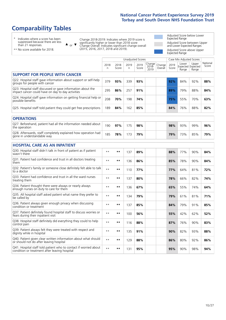# **Comparability Tables**

\* Indicates where a score has been suppressed because there are less than 21 responses.

\*\* No score available for 2018.

 $\triangle$  or  $\nabla$ 

Change 2018-2019: Indicates where 2019 score is significantly higher or lower than 2018 score Change Overall: Indicates significant change overall (2015, 2016, 2017, 2018 and 2019).

Adjusted Score below Lower Expected Range Adjusted Score between Upper and Lower Expected Ranges Adjusted Score above Upper Expected Range

|                                                                                                                   |              |               |           | Unadjusted Scores |                         |                   |               | Case Mix Adjusted Scores            |                |                   |
|-------------------------------------------------------------------------------------------------------------------|--------------|---------------|-----------|-------------------|-------------------------|-------------------|---------------|-------------------------------------|----------------|-------------------|
|                                                                                                                   | 2018<br>n    | 2018<br>Score | 2019<br>n | 2019<br>Score     | Change<br>2018-<br>2019 | Change<br>Overall | 2019<br>Score | Lower<br>Expected Expected<br>Range | Upper<br>Range | National<br>Score |
| <b>SUPPORT FOR PEOPLE WITH CANCER</b>                                                                             |              |               |           |                   |                         |                   |               |                                     |                |                   |
| Q22. Hospital staff gave information about support or self-help<br>groups for people with cancer                  | 379          | 93%           | 339       | 93%               |                         |                   | 92%           | 84%                                 | 92%            | 88%               |
| Q23. Hospital staff discussed or gave information about the<br>impact cancer could have on day to day activities  | 295          | 86%           | 257       | 91%               |                         |                   | 89%           | 79%                                 | 88%            | 84%               |
| Q24. Hospital staff gave information on getting financial help or<br>possible benefits                            | 208          | 70%           | 198       | 74%               |                         |                   | 75%           | 55%                                 | 70%            | 63%               |
| Q25. Hospital staff told patient they could get free prescriptions                                                | 189          | 84%           | 162       | 85%               |                         |                   | 84%           | 76%                                 | 88%            | 82%               |
| <b>OPERATIONS</b>                                                                                                 |              |               |           |                   |                         |                   |               |                                     |                |                   |
| Q27. Beforehand, patient had all the information needed about<br>the operation                                    | 190          | 97%           | 175       | 98%               |                         |                   | 98%           | 93%                                 | 99%            | 96%               |
| Q28. Afterwards, staff completely explained how operation had<br>gone in understandable way                       | 185          | 78%           | 173       | 79%               |                         |                   | 79%           | 73%                                 | 85%            | 79%               |
| <b>HOSPITAL CARE AS AN INPATIENT</b>                                                                              |              |               |           |                   |                         |                   |               |                                     |                |                   |
| Q30. Hospital staff didn't talk in front of patient as if patient<br>wasn't there                                 | $**$         | $***$         | 137       | 89%               |                         |                   | 88%           | 77%                                 | 90%            | 84%               |
| Q31. Patient had confidence and trust in all doctors treating<br>them                                             | $\star\star$ | $***$         | 136       | 86%               |                         |                   | 85%           | 78%                                 | 90%            | 84%               |
| Q32. Patient's family or someone close definitely felt able to talk<br>to a doctor                                | $\star\star$ | $***$         | 110       | 77%               |                         |                   | 77%           | 64%                                 | 81%            | 72%               |
| Q33. Patient had confidence and trust in all the ward nurses<br>treating them                                     | $* *$        | $***$         | 137       | 80%               |                         |                   | 78%           | 66%                                 | 82%            | 74%               |
| Q34. Patient thought there were always or nearly always<br>enough nurses on duty to care for them                 | $**$         | $***$         | 136       | 67%               |                         |                   | 65%           | 55%                                 | 74%            | 64%               |
| Q35. All hospital staff asked patient what name they prefer to<br>be called by                                    | $**$         | $***$         | 134       | 79%               |                         |                   | 79%           | 61%                                 | 81%            | 71%               |
| Q36. Patient always given enough privacy when discussing<br>condition or treatment                                | $* *$        | $***$         | 137       | 85%               |                         |                   | 84%           | 79%                                 | 91%            | 85%               |
| Q37. Patient definitely found hospital staff to discuss worries or<br>fears during their inpatient visit          | $* *$        | $***$         | 100       | 56%               |                         |                   | 55%           | 42%                                 | 62%            | 52%               |
| Q38. Hospital staff definitely did everything they could to help<br>control pain                                  | $* *$        | $***$         | 116       | 88%               |                         |                   | 87%           | 76%                                 | 90%            | 83%               |
| Q39. Patient always felt they were treated with respect and<br>dignity while in hospital                          | $\star\star$ | $***$         | 135       | 91%               |                         |                   | 90%           | 82%                                 | 93%            | 88%               |
| Q40. Patient given clear written information about what should<br>or should not do after leaving hospital         | $**$         | $***$         | 129       | 88%               |                         |                   | 86%           | 80%                                 | 92%            | 86%               |
| Q41. Hospital staff told patient who to contact if worried about<br>condition or treatment after leaving hospital | $**$         | $***$         | 131       | 95%               |                         |                   | 95%           | 90%                                 | 98%            | 94%               |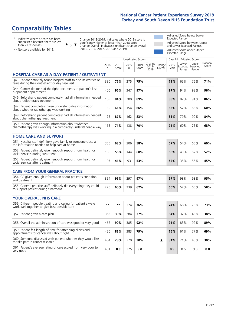# **Comparability Tables**

\* Indicates where a score has been suppressed because there are less than 21 responses.

\*\* No score available for 2018.

or  $\blacktriangledown$  $\blacktriangle$ 

Change 2018-2019: Indicates where 2019 score is significantly higher or lower than 2018 score Change Overall: Indicates significant change overall (2015, 2016, 2017, 2018 and 2019).

Adjusted Score below Lower Expected Range Adjusted Score between Upper and Lower Expected Ranges Adjusted Score above Upper Expected Range

|                                                                                                                       |              |               |            | <b>Unadjusted Scores</b> |                         |                   |               | Case Mix Adjusted Scores |                                     |                   |
|-----------------------------------------------------------------------------------------------------------------------|--------------|---------------|------------|--------------------------|-------------------------|-------------------|---------------|--------------------------|-------------------------------------|-------------------|
|                                                                                                                       | 2018<br>n    | 2018<br>Score | 2019<br>n. | 2019<br>Score            | Change<br>2018-<br>2019 | Change<br>Overall | 2019<br>Score | Lower<br>Range           | Upper<br>Expected Expected<br>Range | National<br>Score |
| <b>HOSPITAL CARE AS A DAY PATIENT / OUTPATIENT</b>                                                                    |              |               |            |                          |                         |                   |               |                          |                                     |                   |
| Q43. Patient definitely found hospital staff to discuss worries or<br>fears during their outpatient or day case visit | 330          | 75%           | 275        | 75%                      |                         |                   | 73%           | 65%                      | 76%                                 | 71%               |
| Q44. Cancer doctor had the right documents at patient's last<br>outpatient appointment                                | 400          | 96%           | 347        | 97%                      |                         |                   | 97%           | 94%                      | 98%                                 | 96%               |
| Q46. Beforehand patient completely had all information needed<br>about radiotherapy treatment                         | 163          | 84%           | 200        | 89%                      |                         |                   | 88%           | 82%                      | 91%                                 | 86%               |
| Q47. Patient completely given understandable information<br>about whether radiotherapy was working                    | 139          | 61%           | 154        | 66%                      |                         |                   | 65%           | 52%                      | 68%                                 | 60%               |
| Q49. Beforehand patient completely had all information needed<br>about chemotherapy treatment                         | 175          | 87%           | 162        | 83%                      |                         |                   | 83%           | 79%                      | 90%                                 | 84%               |
| Q50. Patient given enough information about whether<br>chemotherapy was working in a completely understandable way    | 165          | 71%           | 138        | 70%                      |                         |                   | 71%           | 60%                      | 75%                                 | 68%               |
| <b>HOME CARE AND SUPPORT</b>                                                                                          |              |               |            |                          |                         |                   |               |                          |                                     |                   |
| Q51. Hospital staff definitely gave family or someone close all<br>the information needed to help care at home        | 350          | 63%           | 306        | 58%                      |                         |                   | 57%           | 54%                      | 65%                                 | 60%               |
| Q52. Patient definitely given enough support from health or<br>social services during treatment                       | 183          | 56%           | 144        | 60%                      |                         |                   | 60%           | 43%                      | 62%                                 | 52%               |
| Q53. Patient definitely given enough support from health or<br>social services after treatment                        | 107          | 41%           | 93         | 53%                      |                         |                   | 52%           | 35%                      | 55%                                 | 45%               |
| CARE FROM YOUR GENERAL PRACTICE                                                                                       |              |               |            |                          |                         |                   |               |                          |                                     |                   |
| Q54. GP given enough information about patient's condition<br>and treatment                                           | 354          | 95%           | 297        | 97%                      |                         |                   | 97%           | 93%                      | 98%                                 | 95%               |
| Q55. General practice staff definitely did everything they could<br>to support patient during treatment               | 270          | 60%           | 239        | 62%                      |                         |                   | 60%           | 52%                      | 65%                                 | 58%               |
|                                                                                                                       |              |               |            |                          |                         |                   |               |                          |                                     |                   |
| <b>YOUR OVERALL NHS CARE</b>                                                                                          |              |               |            |                          |                         |                   |               |                          |                                     |                   |
| Q56. Different people treating and caring for patient always<br>work well together to give best possible care         | $\star\star$ | $***$         | 374        | 76%                      |                         |                   | 74%           | 68%                      | 78%                                 | 73%               |
| Q57. Patient given a care plan                                                                                        | 362          | 39%           | 284        | 37%                      |                         |                   | 34%           | 32%                      | 43%                                 | 38%               |
| Q58. Overall the administration of care was good or very good                                                         | 462          | 90%           | 385        | 92%                      |                         |                   | 91%           | 85%                      | 92%                                 | 89%               |
| Q59. Patient felt length of time for attending clinics and<br>appointments for cancer was about right                 | 450          | 83%           | 383        | 79%                      |                         |                   | 76%           | 61%                      | 77%                                 | 69%               |
| Q60. Someone discussed with patient whether they would like<br>to take part in cancer research                        | 434          | 28%           | 370        | 30%                      |                         | ▲                 | 31%           | 21%                      | 40%                                 | 30%               |
| Q61. Patient's average rating of care scored from very poor to<br>very good                                           | 451          | 8.9           | 375        | 9.0                      |                         |                   | 8.9           | 8.6                      | 9.0                                 | 8.8               |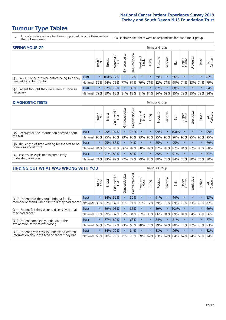# **Tumour Type Tables**

- \* Indicates where a score has been suppressed because there are less than 21 responses.
- n.a. Indicates that there were no respondents for that tumour group.

| <b>SEEING YOUR GP</b>                           |              |              |               |                   |                   |               |                             |             | <b>Tumour Group</b> |         |      |                 |                                                                             |         |                |
|-------------------------------------------------|--------------|--------------|---------------|-------------------|-------------------|---------------|-----------------------------|-------------|---------------------|---------|------|-----------------|-----------------------------------------------------------------------------|---------|----------------|
|                                                 |              | Brain<br>CNS | <b>Breast</b> | Colorectal<br>LGT | ক<br>Gynaecologic | Haematologica | Head and<br>Neck            | <b>Gunn</b> | Prostate            | Sarcoma | Skin | Upper<br>Gastro | Urological                                                                  | Other   | All<br>Cancers |
| Q1. Saw GP once or twice before being told they | Trust        | $\star$      | 100% 77%      |                   | $\star$           | 72%           | $\star$                     | $\star$     | 79%                 |         | 96%  | $\star$         | $\star$                                                                     | $\star$ | 82%            |
| needed to go to hospital                        | National 59% |              |               |                   |                   |               | 94% 75% 77% 67% 79% 71% 82% |             |                     |         |      |                 | 71% 90% 74% 83% 74%                                                         |         | 79%            |
| Q2. Patient thought they were seen as soon as   | Trust        | $\star$      |               | 92% 76%           |                   | 85%           | $\star$                     | $\star$     | 82%                 |         | 88%  | $\star$         | $\star$                                                                     | $\star$ | 84%            |
| necessary                                       | National     | 79%          |               |                   |                   |               |                             |             |                     |         |      |                 | 89%   83%   81%   82%   81%   84%   86%   69%   85%   79%   85%   79%   84% |         |                |

#### **DIAGNOSTIC TESTS** Tumour Group

|                                                   |              | Brain<br>CNS | <b>Breast</b> | Colorectal<br>LGT           | ᠊ᢛ<br>Gynaecologic | Haematological | Head and<br>Neck | Lung    | Prostate | Sarcoma | Skin | Upper<br>Gastro | rological                                   | Other   | All<br>Cancers |
|---------------------------------------------------|--------------|--------------|---------------|-----------------------------|--------------------|----------------|------------------|---------|----------|---------|------|-----------------|---------------------------------------------|---------|----------------|
| Q5. Received all the information needed about     | <b>Trust</b> | $\star$      | 99% 97%       |                             |                    | 100%           | $\star$          | $\star$ | 99%      |         | 100% | $\star$         | $\star$                                     | $\star$ | 99%            |
| $\vert$ the test                                  | National     | 93%          | 95%           | 95%                         | 93%                | 95%            |                  | 93% 95% | 95%      | 93%     | 96%  | 95%             | 95%                                         | 95%     | 95%            |
| Q6. The length of time waiting for the test to be | Trust        | $\star$      |               | 95% 83%                     | $\star$            | 94%            | $\star$          | $\star$ | 85%      | $\star$ | 95%  | $\star$         | $\star$                                     | $\star$ | 89%            |
| done was about right                              | National     |              |               | 84% 91% 88%                 |                    |                |                  |         |          |         |      |                 | 86% 89% 88% 87% 87% 81% 87% 84% 87% 86% 88% |         |                |
| Q7. Test results explained in completely          | Trust        | $\star$      | 91%           | 80%                         | $\star$            | 88%            | $\star$          | $\star$ | 85%      | $\star$ | 91%  | $\star$         | $\star$                                     | $\star$ | 87%            |
| understandable way                                | National 71% |              |               | 83% 82% 77% 77% 79% 80% 80% |                    |                |                  |         |          |         |      |                 | 78% 84% 75% 80% 76% 80%                     |         |                |

| <b>FINDING OUT WHAT WAS WRONG WITH YOU</b>        |              |         |               |                        |                |                |                  |         | <b>Tumour Group</b> |          |      |                 |           |         |                |
|---------------------------------------------------|--------------|---------|---------------|------------------------|----------------|----------------|------------------|---------|---------------------|----------|------|-----------------|-----------|---------|----------------|
|                                                   |              | Brain   | <b>Breast</b> | olorectal.<br>LGT<br>Ū | Gynaecological | Haematological | Head and<br>Neck | Lung    | Prostate            | Sarcoma  | Skin | Upper<br>Gastro | Jrologica | Other   | All<br>Cancers |
| Q10. Patient told they could bring a family       | <b>Trust</b> | $\star$ | 84%           | 89%                    | $\star$        | 80%            | $\star$          | $\star$ | 91%                 | $\star$  | 44%  | $\star$         | $\star$   | $\star$ | 83%            |
| member or friend when first told they had cancer  | National     | 85%     | 82%           | 82%                    | 71%            | 71%            | 71%              | 77%     | 79%                 | 73%      | 69%  | 76%             | 73%       | 75%     | 77%            |
| Q11. Patient felt they were told sensitively that | Trust        | $\star$ | 89%           | 95%                    |                | 85%            | $\star$          | $\star$ | 89%                 | $^\star$ | 100% | $\star$         | $\star$   | $\star$ | 89%            |
| they had cancer                                   | National     | 79%     | 89% 87%       |                        | 82%            |                | 84% 87% 83%      |         | 86%                 | 84%      | 89%  | 81%             | 84% 83%   |         | 86%            |
| Q12. Patient completely understood the            | Trust        | $\star$ | 77%           | 82%                    |                | 68%            | $\star$          | $\star$ | 84%                 | $\star$  | 81%  | $\star$         | $\star$   | $\star$ | 77%            |
| explanation of what was wrong                     | National     | 66%     | 77%           | 79%                    | 73%            | 60%            | 78%              | 76%     | 79%                 | 67%      | 80%  | 70%             | 77%       | 70%     | 73%            |
| Q13. Patient given easy to understand written     | Trust        | $\star$ | 84%           | 72%                    | $\star$        | 84%            | $\star$          | $\star$ | 88%                 | $\star$  | 96%  | $\star$         | $\star$   | $\star$ | 82%            |
| information about the type of cancer they had     | National     | 66%     | 78%           | 73%                    | 71%            | 76%            |                  |         | 69% 67% 83%         | 67%      | 84%  | 67%             | 74%       | 65%     | 74%            |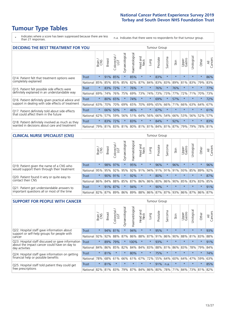# **Tumour Type Tables**

\* Indicates where a score has been suppressed because there are less than 21 responses.

n.a. Indicates that there were no respondents for that tumour group.

| <b>DECIDING THE BEST TREATMENT FOR YOU</b>         |          |         |               |                             |                |                |                         |          | <b>Tumour Group</b> |         |                                         |                 |            |         |                |
|----------------------------------------------------|----------|---------|---------------|-----------------------------|----------------|----------------|-------------------------|----------|---------------------|---------|-----------------------------------------|-----------------|------------|---------|----------------|
|                                                    |          | Brain   | <b>Breast</b> | olorectal.<br>LGT<br>$\cup$ | Gynaecological | Haematological | ead and<br>Neck<br>Head | Lung     | Prostate            | Sarcoma | Skin                                    | Upper<br>Gastro | Jrological | Other   | All<br>Cancers |
| Q14. Patient felt that treatment options were      | Trust    | $\star$ | 91%           | 85%                         | $\star$        | 85%            | $\star$                 | $\star$  | 83%                 | $\star$ | $\star$                                 | $\star$         | $\star$    | $\star$ | 86%            |
| completely explained                               | National | 85%     | 85%           | 85%                         | 85%            | 82%            | 87%                     | 84%      | 83%                 | 83%     | 89%                                     | 81%             | 83%        | 79%     | 83%            |
| Q15. Patient felt possible side effects were       | Trust    | $\star$ | 83%           | 72%                         | $\star$        | 76%            | $\star$                 | $^\star$ | 76%                 | $\star$ | 76%                                     | $\star$         | $\star$    | $\star$ | 77%            |
| definitely explained in an understandable way      | National | 69%     | 74%           | 76%                         | 75%            | 69%            | 73%                     | 74%      | 73%                 | 73%     | 77%                                     | 72%             | 71%        | 70%     | 73%            |
| Q16. Patient definitely given practical advice and | Trust    | $\star$ | 80%           | 65%                         | $\star$        | 74%            | $\star$                 | $\star$  | 69%                 | $\star$ | 57%                                     | $\star$         | $\star$    | $\star$ | 72%            |
| support in dealing with side effects of treatment  | National | 63%     | 70%           | 70%                         | 69%            | 65%            | 70%                     | 69%      | 65%                 | 66%     | 71%                                     | 66%             | 63%        | 64%     | 67%            |
| Q17. Patient definitely told about side effects    | Trust    | $\star$ | 66%           | 50%                         | $\star$        | 46%            | $\star$                 | $\star$  | 67%                 | $\star$ | $\star$                                 | $\star$         | $\star$    | $\star$ | 61%            |
| that could affect them in the future               | National | 62%     | 57%           | 59%                         | 56%            | 51%            | 64%                     | 56%      | 66%                 | 54%     | 66%                                     | 53%             | 56%        | 52%     | 57%            |
| Q18. Patient definitely involved as much as they   | Trust    | $\star$ | 83%           | 72%                         | $\star$        | 83%            | $\star$                 | $\star$  | 84%                 | $\star$ | 92%                                     | $\star$         | $\star$    | $\star$ | 83%            |
| wanted in decisions about care and treatment       | National | 79%     |               |                             |                |                |                         |          |                     |         | 81% 83% 81% 80% 81% 81% 84% 81% 87% 79% |                 | 79%        | 78% 81% |                |

#### **CLINICAL NURSE SPECIALIST (CNS)** Tumour Group

|                                             |              | Brain   | Breast | Colorectal<br>LGT | $\overline{\sigma}$<br>Gynaecologi | Haematological | Head and<br>Neck | Lung    | Prostate | Sarcoma | Skin                    | Upper<br>Gastro | $\sigma$<br>Irologica | Other   | All<br>Cancers |
|---------------------------------------------|--------------|---------|--------|-------------------|------------------------------------|----------------|------------------|---------|----------|---------|-------------------------|-----------------|-----------------------|---------|----------------|
| Q19. Patient given the name of a CNS who    | <b>Trust</b> | $\star$ |        | 98% 97%           |                                    | 95%            | $\star$          |         | 96%      | $\star$ | 96%                     | $\star$         | $\star$               | $\star$ | 96%            |
| would support them through their treatment  | National     | 95%     | 95%    | 92%               | 95%                                | 92%            | 91%              | 94% 91% |          | 91%     | 91%                     | 93%             | 85%                   | 89%     | 92%            |
| Q20. Patient found it very or quite easy to | <b>Trust</b> | $\star$ |        | 90% 91%           |                                    | 92%            | $\star$          | $\star$ | 80%      |         | $\star$                 | $\star$         | $\star$               | $\star$ | 87%            |
| contact their CNS                           | National     | 86%     | 84%    | 88%               | 85%                                |                | 87% 86% 86% 80%  |         |          | 86%     | 90%                     | 85%             | 83% 83%               |         | 85%            |
| Q21. Patient got understandable answers to  | Trust        | $\star$ | 91%    | 87%               | $\star$                            | 94%            | $\star$          | $\star$ | 90%      | $\star$ | $\star$                 | $\star$         | $\star$               | $\star$ | 91%            |
| important questions all or most of the time | National     | 82%     | 87%    | 89%               | 86%                                |                |                  |         |          |         | 89% 88% 86% 87% 87% 93% | 86%             | 87% 86% 87%           |         |                |

| <b>SUPPORT FOR PEOPLE WITH CANCER</b>                                                             |              |         |               |            |                |                |                         |             | <b>Tumour Group</b> |         |         |                 |            |         |                |
|---------------------------------------------------------------------------------------------------|--------------|---------|---------------|------------|----------------|----------------|-------------------------|-------------|---------------------|---------|---------|-----------------|------------|---------|----------------|
|                                                                                                   |              | Brain   | <b>Breast</b> | Colorectal | Gynaecological | Haematological | ead and<br>Neck<br>Head | Lung        | Prostate            | Sarcoma | Skin    | Upper<br>Gastro | Jrological | Other   | All<br>Cancers |
| Q22. Hospital staff gave information about<br>support or self-help groups for people with         | Trust        | $\star$ | 94%           | 81%        | $\star$        | 94%            | $\star$                 | $\star$     | 95%                 | $\star$ | $\star$ | $\star$         | $\star$    | $\star$ | 93%            |
| cancer                                                                                            | National     | 92%     | 92%           | 88%        | 87%            | 86%            | 88%                     | 87%         | 91%                 | 86%     | 90%     | 88%             | 81%        | 83%     | 88%            |
| Q23. Hospital staff discussed or gave information<br>about the impact cancer could have on day to | <b>Trust</b> | $\star$ | 89%           | 79%        | $\star$        | 100%           | $\star$                 | $\star$     | 93%                 | $\star$ | $\star$ | $\star$         | $\star$    | $\star$ | 91%            |
| day activities                                                                                    | National     | 84%     | 86%           | 85%        | 82%            | 84%            | 84%                     | 83%         | 88%                 | 81%     | 86%     | 83%             | 78%        | 79%     | 84%            |
| Q24. Hospital staff gave information on getting                                                   | Trust        | $\star$ | 81%           | $\star$    | $\star$        | 80%            | $\star$                 | $\star$     | 75%                 | $\star$ | $\star$ | $\star$         | $\star$    | $\ast$  | 74%            |
| financial help or possible benefits                                                               | National     | 78%     | 68%           | 61%        | 66%            | 61%            | 67%                     | 72%         | 55%                 | 64%     | 60%     | 64%             | 47%        | 59%     | 63%            |
| Q25. Hospital staff told patient they could get                                                   | Trust        | $\star$ | 81%           | $\star$    | $\star$        | $\star$        | $\star$                 | $\star$     | 91%                 | n.a.    | $\star$ | $\star$         | $\star$    | $\star$ | 85%            |
| free prescriptions                                                                                | National     | 82%     | 81%           | 83%        | 79%            | 87%            |                         | 84% 86% 80% |                     | 78%     | 71%     | 84%             | 73%        | 81%     | 82%            |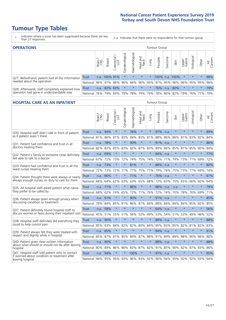# **Tumour Type Tables**

- \* Indicates where a score has been suppressed because there are less than 21 responses.
- n.a. Indicates that there were no respondents for that tumour group.

| <b>OPERATIONS</b>                                |              |       |               |                        |                                     |                |                  |         | Tumour Group |         |                                             |                 |            |           |                |
|--------------------------------------------------|--------------|-------|---------------|------------------------|-------------------------------------|----------------|------------------|---------|--------------|---------|---------------------------------------------|-----------------|------------|-----------|----------------|
|                                                  |              | Brain | <b>Breast</b> | iolorectal<br>LGT<br>Ü | $\overline{\sigma}$<br>Gynaecologic | Haematological | Head and<br>Neck | Lung    | Prostate     | Sarcoma | Skin                                        | Upper<br>Gastro | Jrological | Other     | All<br>Cancers |
| Q27. Beforehand, patient had all the information | <b>Trust</b> |       | n.a. 100% 91% |                        | $\star$                             | $\star$        | $\star$          | $\star$ | 100%         | n.a.    | 100%                                        | *.              | $\star$    | $\star$   | 98%            |
| needed about the operation                       | National     | 96%   |               | 97% 96%                |                                     |                |                  |         |              |         | 96% 94% 96% 95% 97% 95% 96% 96% 95% 95% 95% |                 |            |           | 96%            |
| Q28. Afterwards, staff completely explained how  | <b>Trust</b> | n.a.  | 82% 83%       |                        | $\star$                             | $\star$        | $\star$          | $\star$ | 76%          | n.a.    | 80%                                         | $\star$         | $\star$    | $\star$   | 79%            |
| operation had gone in understandable way         | National     | 76%   |               | 79% 83%                |                                     |                | 79%   78%   79%  |         |              |         | 79% 78% 80% 82% 79%                         |                 |            | 76%   77% | 79%            |

#### **HOSPITAL CARE AS AN INPATIENT** Tumour Group

|                                                                                                  |              | Brain | <b>Breast</b> | $\frac{\text{Colored}}{\text{LGT}}$ | Gynaecological | Haematological                                          | Head and<br>Neck | Lung    | Prostate | Sarcoma | Skin    | Upper<br>Gastro | Urological | Other   | Cancers<br>$\overline{\overline{z}}$ |
|--------------------------------------------------------------------------------------------------|--------------|-------|---------------|-------------------------------------|----------------|---------------------------------------------------------|------------------|---------|----------|---------|---------|-----------------|------------|---------|--------------------------------------|
| Q30. Hospital staff didn't talk in front of patient                                              | Trust        | n.a.  | 94%           | $\star$                             | $\star$        | 76%                                                     | $\star$          | $\star$ | 97%      | n.a.    | $\star$ | $\star$         | $\star$    | $\star$ | 89%                                  |
| as if patient wasn't there                                                                       | National     | 81%   | 86%           | 81%                                 | 83%            | 84%                                                     | 83% 81%          |         | 88%      | 86%     | 86%     | 81%             | 83%        | 82%     | 84%                                  |
| 031. Patient had confidence and trust in all                                                     | <b>Trust</b> | n.a.  | 78%           | $\star$                             | $\star$        | 90%                                                     | $\star$          | $\star$ | 91%      | n.a.    | $\star$ | $\star$         | $\star$    | $\star$ | 86%                                  |
| doctors treating them                                                                            | National     | 82%   | 83%           | 85%                                 | 83%            |                                                         | 82% 87% 83%      |         | 89%      | 86%     | 85%     | 81%             | 85%        | 80%     | 84%                                  |
| Q32. Patient's family or someone close definitely                                                | <b>Trust</b> | n.a.  | 69%           | $\star$                             | $\star$        | $\star$                                                 | $\star$          | $\star$ | 84%      | n.a.    | $\star$ |                 | $\star$    | $\star$ | 77%                                  |
| felt able to talk to a doctor                                                                    | National     | 67%   | 72%           | 73%                                 | 72%            | 74%                                                     | 75%              | 74%     | 72%      | 71%     | 74%     | 73%             | 71%        | 69%     | 72%                                  |
| Q33. Patient had confidence and trust in all the                                                 | <b>Trust</b> | n.a.  | 73%           | $\star$                             | $\star$        | 81%                                                     | $\star$          | $\star$ | 88%      | n.a.    | $\star$ | $\star$         | $\star$    | $\star$ | 80%                                  |
| ward nurses treating them                                                                        | National     | 72%   | 73%           | 72%                                 | 71%            | 77%                                                     |                  | 75% 77% | 79%      | 74%     | 75%     |                 | 73% 77%    | 69%     | 74%                                  |
| Q34. Patient thought there were always or nearly                                                 | <b>Trust</b> | n.a.  | 66%           | $\star$                             | $\star$        | 71%                                                     | $\star$          | $\star$ | 76%      | n.a.    | $\star$ |                 | $\star$    | $\star$ | 67%                                  |
| always enough nurses on duty to care for them                                                    | National     | 68%   | 64%           | 62% 63%                             |                |                                                         | 63% 65% 68%      |         | 72%      | 65%     | 70%     | 65%             | 66%        | 60%     | 64%                                  |
| Q35. All hospital staff asked patient what name                                                  | Trust        | n.a.  | 171%          | $\star$                             | $\star$        | 86%                                                     | $\star$          | $\star$ | 88%      | n.a.    | n.a.    |                 | $\star$    | $\star$ | 79%                                  |
| they prefer to be called by                                                                      | National     | 68%   | 62%           | 74%                                 | 65%            | 72%                                                     | 71%              | 76%     | 72%      | 74%     | 70%     | 78%             | 76%        | 69%     | 71%                                  |
| Q36. Patient always given enough privacy when                                                    | <b>Trust</b> | n.a.  | 91%           | $\star$                             |                | 90%                                                     | $\star$          | $\star$ | 91%      | n.a.    | $\star$ | $\star$         | $\star$    | $\star$ | 85%                                  |
| discussing condition or treatment                                                                | National     | 78%   | 84%           | 85%                                 | 81%            |                                                         | 86% 87% 84%      |         | 88%      | 84%     | 84%     | 84%             | 85%        | 82%     | 85%                                  |
| Q37. Patient definitely found hospital staff to                                                  | <b>Trust</b> | n.a.  | 58%           | $\star$                             | $\star$        | $\star$                                                 | $\star$          | $\star$ | 64%      | n.a.    | $\star$ | $\star$         | $\star$    | $\star$ | 56%                                  |
| discuss worries or fears during their inpatient visit                                            | National     | 45%   | 51%           | 55%                                 | 51%            | 56%                                                     | 52%              | 49%     | 53%      | 54%     | 51%     | 53%             | 49%        | 46%     | 52%                                  |
| Q38. Hospital staff definitely did everything they                                               | <b>Trust</b> |       | n.a. 90%      | $\star$                             | $\star$        | $\star$                                                 | $\star$          | $\star$ | 89%      | n.a.    | $\star$ | $\star$         | $\star$    | $\star$ | 88%                                  |
| could to help control pain                                                                       | National     | 85%   | 83%           | 84%                                 | 82%            | 82%                                                     | 80% 84%          |         | 85%      | 83%     |         | 85% 82%         | 81%        | 82%     | 83%                                  |
| Q39. Patient always felt they were treated with                                                  | <b>Trust</b> |       | n.a. 85%      | $\star$                             | $\star$        | $\star$                                                 | $\star$          | $\star$ | 94%      | n.a.    | $\star$ | $\star$         | $\star$    | $\star$ | 91%                                  |
| respect and dignity while in hospital                                                            | National     | 85%   | 87%           | 87%                                 | 85%            | 89%                                                     | 87%              | 88%     | 91%      | 89%     | 89%     | 88%             | 90%        | 86%     | 88%                                  |
| Q40. Patient given clear written information<br>about what should or should not do after leaving | <b>Trust</b> | n.a.  | 90%           | $\star$                             | $\star$        | $\star$                                                 | $\star$          | $\star$ | 88%      | n.a.    | $\star$ | $\star$         | $\star$    | $\star$ | 88%                                  |
| hospital                                                                                         | National     | 80%   | 89%           | 86%                                 | 86%            |                                                         | 83% 87% 82%      |         | 91%      | 85%     | 90%     | 82%             | 87%        | 83%     | 86%                                  |
| Q41. Hospital staff told patient who to contact<br>if worried about condition or treatment after | <b>Trust</b> | n.a.  | 94%           | $\star$                             |                | 100%                                                    | $\star$          | $\star$ | 97%      | n.a.    | $\star$ | $\star$         | $\star$    | $\star$ | 95%                                  |
| leaving hospital                                                                                 | National     |       |               |                                     |                | 94% 95% 95% 93% 96% 93% 92% 96% 94% 95% 92% 92% 93% 94% |                  |         |          |         |         |                 |            |         |                                      |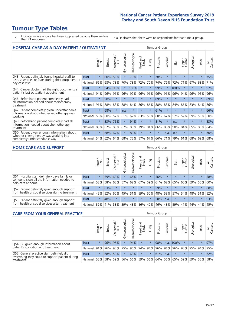# **Tumour Type Tables**

- \* Indicates where a score has been suppressed because there are less than 21 responses.
- n.a. Indicates that there were no respondents for that tumour group.

| <b>HOSPITAL CARE AS A DAY PATIENT / OUTPATIENT</b>                                                                    | <b>Tumour Group</b> |         |               |                       |                |                |                         |          |          |         |         |                 |            |         |                |
|-----------------------------------------------------------------------------------------------------------------------|---------------------|---------|---------------|-----------------------|----------------|----------------|-------------------------|----------|----------|---------|---------|-----------------|------------|---------|----------------|
|                                                                                                                       |                     | Brain   | <b>Breast</b> | olorectal<br>LGT<br>Ū | Gynaecological | Haematological | ead and<br>Neck<br>Head | Lung     | Prostate | Sarcoma | Skin    | Upper<br>Gastro | Urological | Other   | All<br>Cancers |
| Q43. Patient definitely found hospital staff to                                                                       | Trust               | $\star$ | 80%           | 59%                   | $\star$        | 79%            | $\star$                 | $\star$  | 78%      | $\star$ | $\star$ | $\star$         | $\star$    | $\star$ | 75%            |
| discuss worries or fears during their outpatient or<br>day case visit                                                 | National            | 66%     | 68%           | 73%                   | 70%            | 73%            | 72%                     | 70%      | 74%      | 72%     | 72%     | 71%             | 67%        | 68%     | 71%            |
| Q44. Cancer doctor had the right documents at<br>patient's last outpatient appointment                                | Trust               | $\star$ | 94%           | 90%                   |                | 100%           | $\star$                 | $^\star$ | 99%      | $\ast$  | 100%    | $^\star$        | $\star$    | $\ast$  | 97%            |
|                                                                                                                       | National            | 94%     | 96%           | 96%                   | 96%            | 97%            | 96%                     | 96%      | 96%      | 96%     | 96%     | 94%             | 96%        | 95%     | 96%            |
| Q46. Beforehand patient completely had                                                                                | Trust               | $\star$ | 90%           | $\star$               |                |                | $\star$                 | $\star$  | 89%      | $\star$ |         | $\star$         | $\star$    | $\star$ | 89%            |
| all information needed about radiotherapy<br>treatment                                                                | National            | 91%     | 88%           | 83%                   | 88%            | 84%            | 86%                     | 86%      | 88%      | 88%     | 84%     | 86%             | 83%        | 84%     | 86%            |
| Q47. Patient completely given understandable                                                                          | Trust               | $\star$ | 68%           | $\star$               | n.a.           | $\star$        | $\star$                 | $\star$  | 61%      | $\star$ | $\star$ | $\star$         | ÷          | $\ast$  | 66%            |
| information about whether radiotherapy was<br>working                                                                 | National            | 56%     | 60%           | 57%                   | 61%            | 62%            | 63%                     | 59%      | 60%      | 67%     | 57%     | 52%             | 59%        | 59%     | 60%            |
| Q49. Beforehand patient completely had all                                                                            | Trust               | $\star$ | 83%           | 75%                   | $\star$        | 94%            | $\star$                 | $\star$  | 81%      | $\star$ | n.a.    | $\star$         | $^\star$   | $\ast$  | 83%            |
| information needed about chemotherapy<br>treatment                                                                    | National            | 80%     | 82%           | 86%                   | 87%            | 85%            | 79%                     | 84%      | 86%      | 86%     | 90%     | 84%             | 85%        | 85%     | 84%            |
| Q50. Patient given enough information about<br>whether chemotherapy was working in a<br>completely understandable way | Trust               | $\star$ | 68%           | 67%                   | $\star$        | 83%            | $\star$                 | $\star$  | $\star$  | n.a.    | n.a.    | $\star$         |            | $\star$ | 70%            |
|                                                                                                                       | National            | 54%     | 62%           | 64%                   | 68%            | 75%            |                         | 57% 67%  | 66%      | 71%     | 79%     | 61%             | 68%        | 69%     | 68%            |

#### **HOME CARE AND SUPPORT** Tumour Group

|                                                                                                                   |              | Brain   | <b>Breast</b> | olorectal<br>LGT<br>Ü | त्त<br>Gynaecologic | Haematological | ad and<br>Neck<br>Head | <b>Dung</b> | Prostate | Sarcoma | Skin    | Upper<br>Gastro | Urological  | Other   | All<br>Cancers |
|-------------------------------------------------------------------------------------------------------------------|--------------|---------|---------------|-----------------------|---------------------|----------------|------------------------|-------------|----------|---------|---------|-----------------|-------------|---------|----------------|
| Q51. Hospital staff definitely gave family or<br>someone close all the information needed to<br>help care at home | <b>Trust</b> | $\star$ |               | 59% 63%               |                     | 66%            | $\star$                | $\star$     | 56%      | $\star$ | $\star$ | $\star$         | $\star$     | $\star$ | 58%            |
|                                                                                                                   | National     | 58%     | 58%           | 63%                   | 57%                 | 62%            | 67%                    | 59%         | 61%      | 62%     | 65%     | 60%             | 59%         | 55%     | 60%            |
| Q52. Patient definitely given enough support<br>from health or social services during treatment                   | Trust        | $\star$ | 63%           | $\star$               | $\star$             | $\star$        | $\star$                | $\star$     | 59%      | $\star$ | $\star$ | $\star$         | $\star$     | $\star$ | 60%            |
|                                                                                                                   | National     | 42%     | 52%           | 60%                   |                     | 45% 51%        | 59%                    | 50%         | 48%      |         | 53% 57% |                 | 54% 48% 51% |         | 52%            |
| Q53. Patient definitely given enough support<br>from health or social services after treatment                    | Trust        | $\star$ | 48%           |                       | $\star$             | $\star$        | $\star$                | $\star$     | 50%      | n.a.    |         | $\star$         | $\star$     | $\star$ | 53%            |
|                                                                                                                   | National     | 39%     | 41%           | 53%                   | 39%                 | 43%            | 56%                    | 40%         | 46%      | 48%     | 59%     | 47%             | 44%         | 44%     | 45%            |

| <b>CARE FROM YOUR GENERAL PRACTICE</b>                                                                     | Tumour Group |         |               |                   |                |                |                  |         |          |         |                             |                 |             |         |                |
|------------------------------------------------------------------------------------------------------------|--------------|---------|---------------|-------------------|----------------|----------------|------------------|---------|----------|---------|-----------------------------|-----------------|-------------|---------|----------------|
|                                                                                                            |              | Brain   | <b>Breast</b> | Colorectal<br>LGT | Gynaecological | Haematological | Head and<br>Neck | Lung    | Prostate | Sarcoma | Skin                        | Upper<br>Gastro | Urologica   | Other   | All<br>Cancers |
| Q54. GP given enough information about<br>patient's condition and treatment                                | Trust        | $\star$ |               | 96% 96%           | $\star$        | 94%            | $\star$          | $\star$ | 98%      |         | n.a. 100%                   | $\star$         | $\star$     | $\star$ | 97%            |
|                                                                                                            | National 91% |         |               | 96% 95%           | 95%            |                |                  |         |          |         | 96% 94% 94% 96% 94% 96%     |                 | 93% 95% 94% |         | 95%            |
| Q55. General practice staff definitely did<br>everything they could to support patient during<br>treatment | <b>Trust</b> | $\star$ | 68%           | 50%               | $\star$        | 63%            | $\star$          | $\star$ | 61%      | n.a.    | $\star$                     | $\star$         | $\star$     | $\star$ | 62%            |
|                                                                                                            | National     | 55%     |               | 58% 59%           | 56%            |                | 56% 59%          |         |          |         | 56% 64% 56% 65% 59% 59% 55% |                 |             |         | 58%            |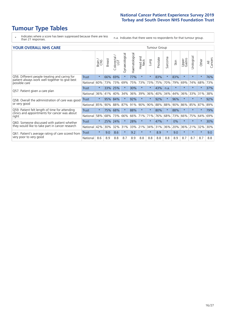# **Tumour Type Tables**

- \* Indicates where a score has been suppressed because there are less than 21 responses.
- n.a. Indicates that there were no respondents for that tumour group.

|  | <b>YOUR OVERALL NHS CARE</b> |  |  |
|--|------------------------------|--|--|
|--|------------------------------|--|--|

| <b>YOUR OVERALL NHS CARE</b>                                                |              |         |               |            |                |                |                         |         | <b>Tumour Group</b> |         |         |                 |                 |         |                |  |  |  |
|-----------------------------------------------------------------------------|--------------|---------|---------------|------------|----------------|----------------|-------------------------|---------|---------------------|---------|---------|-----------------|-----------------|---------|----------------|--|--|--|
|                                                                             |              | Brain   | <b>Breast</b> | Colorectal | Gynaecological | Haematological | aad and<br>Neck<br>Head | Lung    | Prostate            | Sarcoma | Skin    | Upper<br>Gastro | Irological<br>⊃ | Other   | All<br>Cancers |  |  |  |
| Q56. Different people treating and caring for                               | <b>Trust</b> | $\star$ | 66%           | 69%        |                | 77%            | $\star$                 | $\star$ | 83%                 | $\star$ | 83%     | $\star$         |                 | $\ast$  | 76%            |  |  |  |
| patient always work well together to give best<br>possible care             | National     | 60%     | 73%           | 73%        | 69%            | 75%            | 73%                     | 73%     | 75%                 | 70%     | 79%     | 69%             | 74%             | 68%     | 73%            |  |  |  |
| Q57. Patient given a care plan                                              | Trust        | $\star$ | 33%           | 25%        |                | 30%            | $\star$                 | $\star$ | 43%                 | n.a.    | $\star$ |                 |                 | $\star$ | 37%            |  |  |  |
|                                                                             | National     | 36%     | 41%           | 40%        | 34%            | 36%            | 39%                     | 36%     | 40%                 | 34%     | 44%     | 36%             | 33%             | 31%     | 38%            |  |  |  |
| Q58. Overall the administration of care was good                            | <b>Trust</b> | $\star$ | 95%           | 84%        | $\star$        | 92%            | $\star$                 | $\star$ | 92%                 | $\star$ | 96%     |                 |                 | $\ast$  | 92%            |  |  |  |
| or very good                                                                | National     | 85%     | 90%           | 88%        | 87%            | 91%            | 90%                     | 90%     | 88%                 | 88%     | 90%     | 86%             | 85%             | 87%     | 89%            |  |  |  |
| Q59. Patient felt length of time for attending                              | <b>Trust</b> | $\star$ | 75%           | 68%        |                | 88%            | $\star$                 | $\star$ | 80%                 | $\star$ | 88%     | $\star$         |                 | $\ast$  | 79%            |  |  |  |
| clinics and appointments for cancer was about<br>right                      | National     | 58%     | 68%           | 73%        | 66%            | 66%            | 71%                     | 71%     | 76%                 | 68%     | 73%     | 66%             | 75%             | 64%     | 69%            |  |  |  |
| Q60. Someone discussed with patient whether                                 | <b>Trust</b> | $\star$ | 25%           | 24%        |                | 28%            | $\star$                 | $\star$ | 47%                 | $\star$ | $0\%$   | $^\star$        | ¥               | $\star$ | 30%            |  |  |  |
| they would like to take part in cancer research                             | National     | 42%     | 30%           | 32%        | 31%            | 33%            | 21%                     | 34%     | 31%                 | 36%     | 20%     | 36%             | 21%             | 32%     | 30%            |  |  |  |
| Q61. Patient's average rating of care scored from<br>very poor to very good | <b>Trust</b> | $\star$ | 9.0           | 8.6        | $\star$        | 9.2            | $\star$                 | $\star$ | 8.9                 | $\star$ | 9.0     | $\star$         |                 | $\star$ | 9.0            |  |  |  |
|                                                                             | National     | 8.6     | 8.9           | 8.8        | 8.7            | 8.9            | 8.8                     | 8.8     | 8.8                 | 8.8     | 8.9     | 8.7             | 8.7             | 8.7     | 8.8            |  |  |  |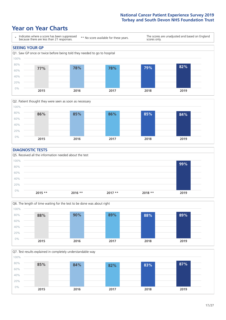# **Year on Year Charts**





#### **DIAGNOSTIC TESTS**





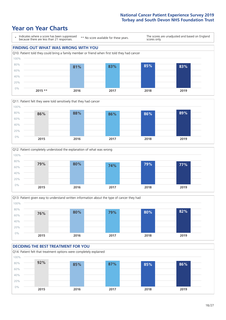







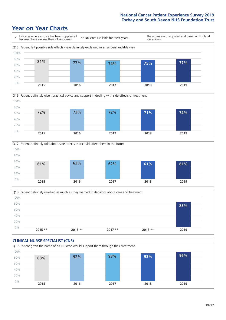







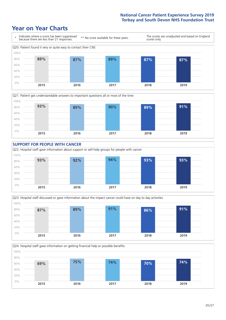







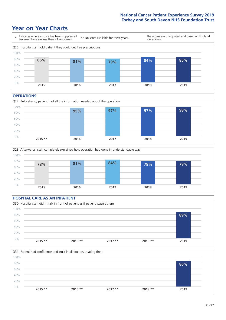# **Year on Year Charts**



#### **OPERATIONS**





### **HOSPITAL CARE AS AN INPATIENT** Q30. Hospital staff didn't talk in front of patient as if patient wasn't there 0% 20% 40% 60% 80% 100% **2015 \*\* 2016 \*\* 2017 \*\* 2018 \*\* 2019 89%**

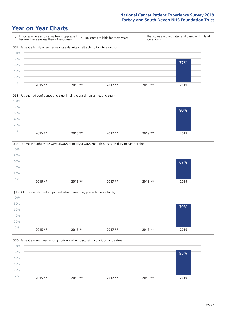







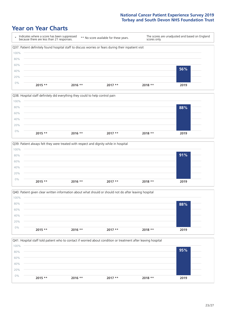







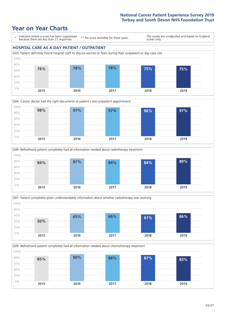# **Year on Year Charts**

0% 20%









**2015 2016 2017 2018 2019**

Q49. Beforehand patient completely had all information needed about chemotherapy treatment 40% 60% 80% 100% **85% 90% 88% 87% 83%**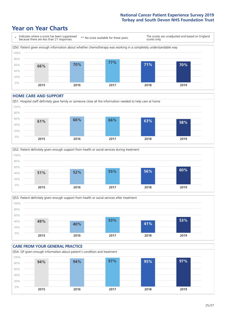# **Year on Year Charts**



#### **HOME CARE AND SUPPORT**







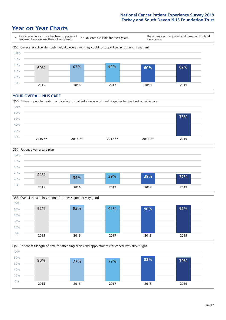# **Year on Year Charts**



#### **YOUR OVERALL NHS CARE**







Q59. Patient felt length of time for attending clinics and appointments for cancer was about right 0% 20% 40% 60% 80% 100% **2015 2016 2017 2018 2019 80% 77% 77% 83% 79%**